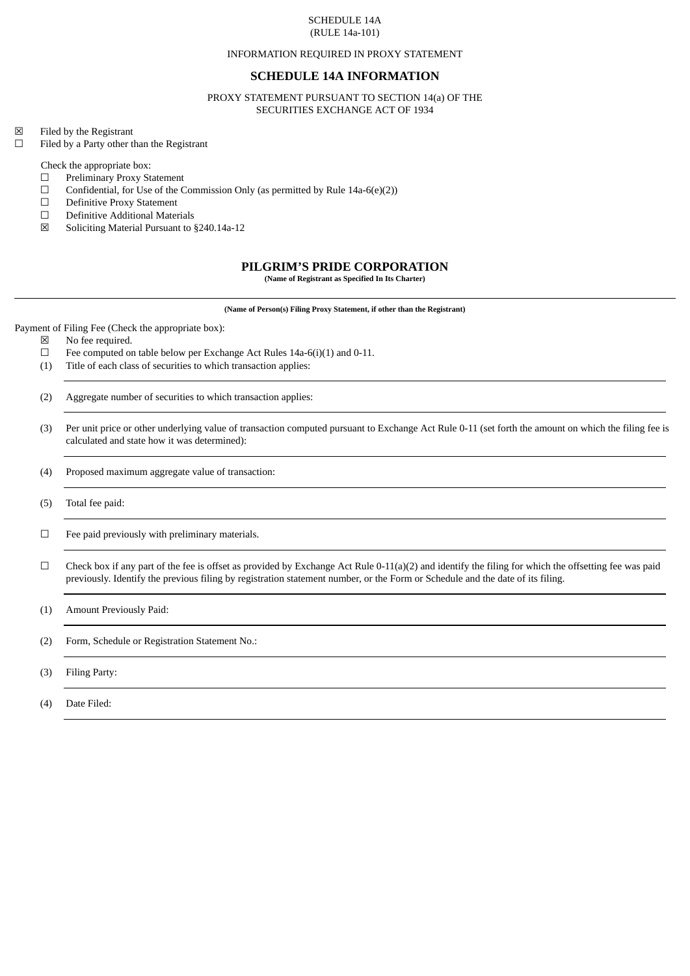#### SCHEDULE 14A (RULE 14a-101)

#### INFORMATION REQUIRED IN PROXY STATEMENT

## **SCHEDULE 14A INFORMATION**

PROXY STATEMENT PURSUANT TO SECTION 14(a) OF THE SECURITIES EXCHANGE ACT OF 1934

☒ Filed by the Registrant

☐ Filed by a Party other than the Registrant

Check the appropriate box:

- ☐ Preliminary Proxy Statement
- $\Box$  Confidential, for Use of the Commission Only (as permitted by Rule 14a-6(e)(2))  $\Box$  Definitive Proxy Statement
- ☐ Definitive Proxy Statement
- ☐ Definitive Additional Materials
- ☒ Soliciting Material Pursuant to §240.14a-12

# **PILGRIM'S PRIDE CORPORATION**

**(Name of Registrant as Specified In Its Charter)**

**(Name of Person(s) Filing Proxy Statement, if other than the Registrant)**

Payment of Filing Fee (Check the appropriate box):

- $\boxtimes$  No fee required.<br> $\Box$  Fee computed or
- Fee computed on table below per Exchange Act Rules 14a-6(i)(1) and 0-11.
- (1) Title of each class of securities to which transaction applies:
- (2) Aggregate number of securities to which transaction applies:
- (3) Per unit price or other underlying value of transaction computed pursuant to Exchange Act Rule 0-11 (set forth the amount on which the filing fee is calculated and state how it was determined):
- (4) Proposed maximum aggregate value of transaction:
- (5) Total fee paid:
- $□$  Fee paid previously with preliminary materials.
- $\Box$  Check box if any part of the fee is offset as provided by Exchange Act Rule 0-11(a)(2) and identify the filing for which the offsetting fee was paid previously. Identify the previous filing by registration statement number, or the Form or Schedule and the date of its filing.

(1) Amount Previously Paid:

- (2) Form, Schedule or Registration Statement No.:
- (3) Filing Party:
- (4) Date Filed: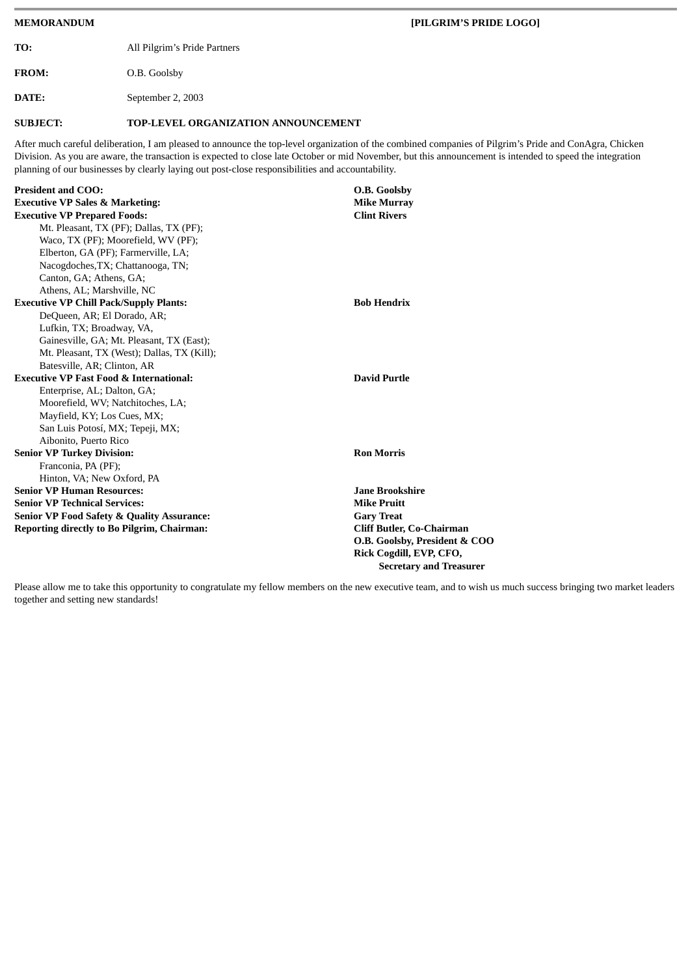**MEMORANDUM [PILGRIM'S PRIDE LOGO] TO:** All Pilgrim's Pride Partners **FROM:** O.B. Goolsby **DATE:** September 2, 2003 **SUBJECT: TOP-LEVEL ORGANIZATION ANNOUNCEMENT** After much careful deliberation, I am pleased to announce the top-level organization of the combined companies of Pilgrim's Pride and ConAgra, Chicken Division. As you are aware, the transaction is expected to close late October or mid November, but this announcement is intended to speed the integration planning of our businesses by clearly laying out post-close responsibilities and accountability. **President and COO: O.B. Goolsby Executive VP Sales & Marketing: Mike Murray Executive VP Prepared Foods: Clint Rivers** Mt. Pleasant, TX (PF); Dallas, TX (PF); Waco, TX (PF); Moorefield, WV (PF); Elberton, GA (PF); Farmerville, LA; Nacogdoches,TX; Chattanooga, TN; Canton, GA; Athens, GA; Athens, AL; Marshville, NC **Executive VP Chill Pack/Supply Plants: Bob Hendrix** DeQueen, AR; El Dorado, AR; Lufkin, TX; Broadway, VA, Gainesville, GA; Mt. Pleasant, TX (East); Mt. Pleasant, TX (West); Dallas, TX (Kill); Batesville, AR; Clinton, AR **Executive VP Fast Food & International: David Purtle** Enterprise, AL; Dalton, GA; Moorefield, WV; Natchitoches, LA; Mayfield, KY; Los Cues, MX; San Luis Potosí, MX; Tepeji, MX; Aibonito, Puerto Rico **Senior VP Turkey Division: Ron Morris** Franconia, PA (PF); Hinton, VA; New Oxford, PA **Senior VP Human Resources: Jane Brookshire Senior VP Technical Services: Mike Pruitt Senior VP Food Safety & Quality Assurance: Reporting directly to Bo Pilgrim, Chairman: Cliff Butler, Co-Chairman**

Please allow me to take this opportunity to congratulate my fellow members on the new executive team, and to wish us much success bringing two market leaders together and setting new standards!

**O.B. Goolsby, President & COO Rick Cogdill, EVP, CFO,**

**Secretary and Treasurer**